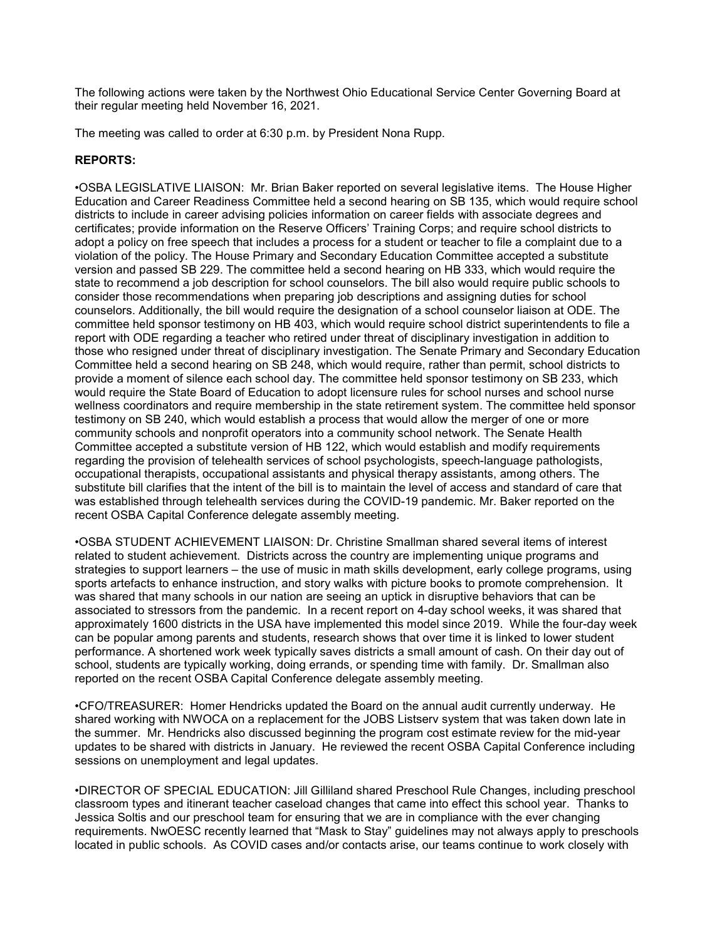The following actions were taken by the Northwest Ohio Educational Service Center Governing Board at their regular meeting held November 16, 2021.

The meeting was called to order at 6:30 p.m. by President Nona Rupp.

# REPORTS:

•OSBA LEGISLATIVE LIAISON: Mr. Brian Baker reported on several legislative items. The House Higher Education and Career Readiness Committee held a second hearing on SB 135, which would require school districts to include in career advising policies information on career fields with associate degrees and certificates; provide information on the Reserve Officers' Training Corps; and require school districts to adopt a policy on free speech that includes a process for a student or teacher to file a complaint due to a violation of the policy. The House Primary and Secondary Education Committee accepted a substitute version and passed SB 229. The committee held a second hearing on HB 333, which would require the state to recommend a job description for school counselors. The bill also would require public schools to consider those recommendations when preparing job descriptions and assigning duties for school counselors. Additionally, the bill would require the designation of a school counselor liaison at ODE. The committee held sponsor testimony on HB 403, which would require school district superintendents to file a report with ODE regarding a teacher who retired under threat of disciplinary investigation in addition to those who resigned under threat of disciplinary investigation. The Senate Primary and Secondary Education Committee held a second hearing on SB 248, which would require, rather than permit, school districts to provide a moment of silence each school day. The committee held sponsor testimony on SB 233, which would require the State Board of Education to adopt licensure rules for school nurses and school nurse wellness coordinators and require membership in the state retirement system. The committee held sponsor testimony on SB 240, which would establish a process that would allow the merger of one or more community schools and nonprofit operators into a community school network. The Senate Health Committee accepted a substitute version of HB 122, which would establish and modify requirements regarding the provision of telehealth services of school psychologists, speech-language pathologists, occupational therapists, occupational assistants and physical therapy assistants, among others. The substitute bill clarifies that the intent of the bill is to maintain the level of access and standard of care that was established through telehealth services during the COVID-19 pandemic. Mr. Baker reported on the recent OSBA Capital Conference delegate assembly meeting.

•OSBA STUDENT ACHIEVEMENT LIAISON: Dr. Christine Smallman shared several items of interest related to student achievement. Districts across the country are implementing unique programs and strategies to support learners – the use of music in math skills development, early college programs, using sports artefacts to enhance instruction, and story walks with picture books to promote comprehension. It was shared that many schools in our nation are seeing an uptick in disruptive behaviors that can be associated to stressors from the pandemic. In a recent report on 4-day school weeks, it was shared that approximately 1600 districts in the USA have implemented this model since 2019. While the four-day week can be popular among parents and students, research shows that over time it is linked to lower student performance. A shortened work week typically saves districts a small amount of cash. On their day out of school, students are typically working, doing errands, or spending time with family. Dr. Smallman also reported on the recent OSBA Capital Conference delegate assembly meeting.

•CFO/TREASURER: Homer Hendricks updated the Board on the annual audit currently underway. He shared working with NWOCA on a replacement for the JOBS Listserv system that was taken down late in the summer. Mr. Hendricks also discussed beginning the program cost estimate review for the mid-year updates to be shared with districts in January. He reviewed the recent OSBA Capital Conference including sessions on unemployment and legal updates.

•DIRECTOR OF SPECIAL EDUCATION: Jill Gilliland shared Preschool Rule Changes, including preschool classroom types and itinerant teacher caseload changes that came into effect this school year. Thanks to Jessica Soltis and our preschool team for ensuring that we are in compliance with the ever changing requirements. NwOESC recently learned that "Mask to Stay" guidelines may not always apply to preschools located in public schools. As COVID cases and/or contacts arise, our teams continue to work closely with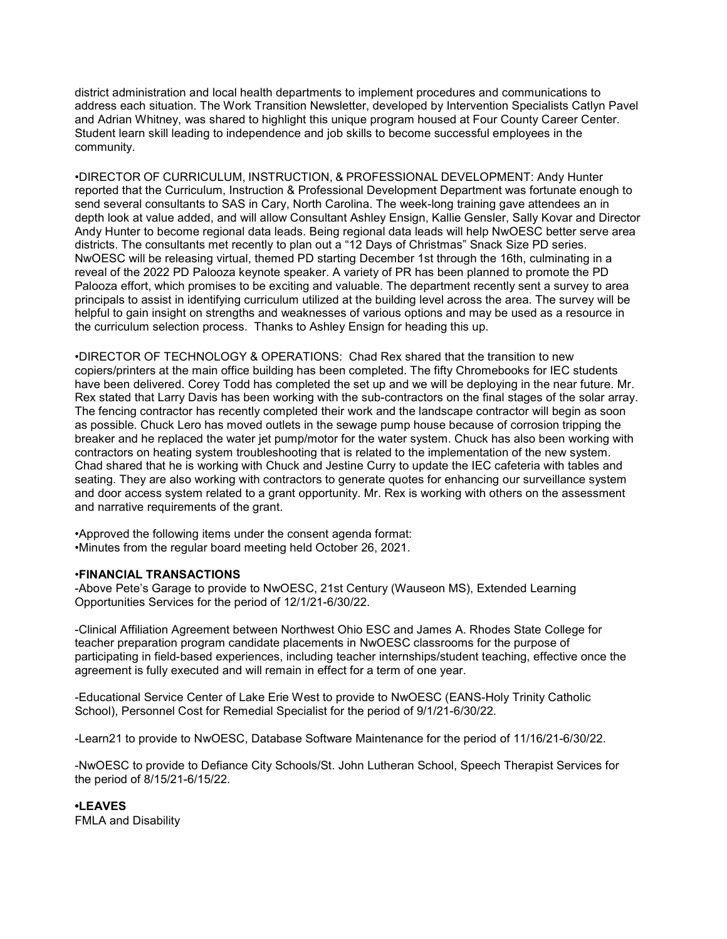district administration and local health departments to implement procedures and communications to address each situation. The Work Transition Newsletter, developed by Intervention Specialists Catlyn Pavel and Adrian Whitney, was shared to highlight this unique program housed at Four County Career Center. Student learn skill leading to independence and job skills to become successful employees in the community.

•DIRECTOR OF CURRICULUM, INSTRUCTION, & PROFESSIONAL DEVELOPMENT: Andy Hunter reported that the Curriculum, Instruction & Professional Development Department was fortunate enough to send several consultants to SAS in Cary, North Carolina. The week-long training gave attendees an in depth look at value added, and will allow Consultant Ashley Ensign, Kallie Gensler, Sally Kovar and Director Andy Hunter to become regional data leads. Being regional data leads will help NwOESC better serve area districts. The consultants met recently to plan out a "12 Days of Christmas" Snack Size PD series. NwOESC will be releasing virtual, themed PD starting December 1st through the 16th, culminating in a reveal of the 2022 PD Palooza keynote speaker. A variety of PR has been planned to promote the PD Palooza effort, which promises to be exciting and valuable. The department recently sent a survey to area principals to assist in identifying curriculum utilized at the building level across the area. The survey will be helpful to gain insight on strengths and weaknesses of various options and may be used as a resource in the curriculum selection process. Thanks to Ashley Ensign for heading this up.

•DIRECTOR OF TECHNOLOGY & OPERATIONS: Chad Rex shared that the transition to new copiers/printers at the main office building has been completed. The fifty Chromebooks for IEC students have been delivered. Corey Todd has completed the set up and we will be deploying in the near future. Mr. Rex stated that Larry Davis has been working with the sub-contractors on the final stages of the solar array. The fencing contractor has recently completed their work and the landscape contractor will begin as soon as possible. Chuck Lero has moved outlets in the sewage pump house because of corrosion tripping the breaker and he replaced the water jet pump/motor for the water system. Chuck has also been working with contractors on heating system troubleshooting that is related to the implementation of the new system. Chad shared that he is working with Chuck and Jestine Curry to update the IEC cafeteria with tables and seating. They are also working with contractors to generate quotes for enhancing our surveillance system and door access system related to a grant opportunity. Mr. Rex is working with others on the assessment and narrative requirements of the grant.

•Approved the following items under the consent agenda format: •Minutes from the regular board meeting held October 26, 2021.

## •FINANCIAL TRANSACTIONS

-Above Pete's Garage to provide to NwOESC, 21st Century (Wauseon MS), Extended Learning Opportunities Services for the period of 12/1/21-6/30/22.

-Clinical Affiliation Agreement between Northwest Ohio ESC and James A. Rhodes State College for teacher preparation program candidate placements in NwOESC classrooms for the purpose of participating in field-based experiences, including teacher internships/student teaching, effective once the agreement is fully executed and will remain in effect for a term of one year.

-Educational Service Center of Lake Erie West to provide to NwOESC (EANS-Holy Trinity Catholic School), Personnel Cost for Remedial Specialist for the period of 9/1/21-6/30/22.

-Learn21 to provide to NwOESC, Database Software Maintenance for the period of 11/16/21-6/30/22.

-NwOESC to provide to Defiance City Schools/St. John Lutheran School, Speech Therapist Services for the period of 8/15/21-6/15/22.

•LEAVES FMLA and Disability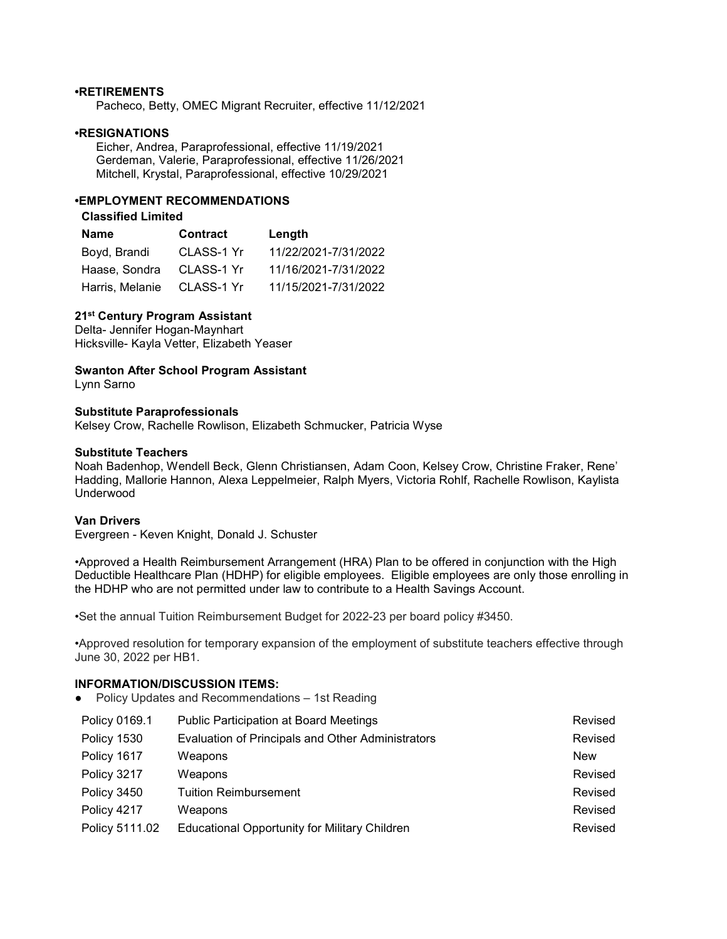#### •RETIREMENTS

Pacheco, Betty, OMEC Migrant Recruiter, effective 11/12/2021

#### •RESIGNATIONS

 Eicher, Andrea, Paraprofessional, effective 11/19/2021 Gerdeman, Valerie, Paraprofessional, effective 11/26/2021 Mitchell, Krystal, Paraprofessional, effective 10/29/2021

## •EMPLOYMENT RECOMMENDATIONS

## Classified Limited

| Name                       | <b>Contract</b> | Length               |
|----------------------------|-----------------|----------------------|
| Boyd, Brandi               | CLASS-1 Yr      | 11/22/2021-7/31/2022 |
| Haase, Sondra              | CLASS-1 Yr      | 11/16/2021-7/31/2022 |
| Harris, Melanie CLASS-1 Yr |                 | 11/15/2021-7/31/2022 |

## 21<sup>st</sup> Century Program Assistant

Delta- Jennifer Hogan-Maynhart Hicksville- Kayla Vetter, Elizabeth Yeaser

# Swanton After School Program Assistant

Lynn Sarno

#### Substitute Paraprofessionals

Kelsey Crow, Rachelle Rowlison, Elizabeth Schmucker, Patricia Wyse

#### Substitute Teachers

Noah Badenhop, Wendell Beck, Glenn Christiansen, Adam Coon, Kelsey Crow, Christine Fraker, Rene' Hadding, Mallorie Hannon, Alexa Leppelmeier, Ralph Myers, Victoria Rohlf, Rachelle Rowlison, Kaylista Underwood

#### Van Drivers

Evergreen - Keven Knight, Donald J. Schuster

•Approved a Health Reimbursement Arrangement (HRA) Plan to be offered in conjunction with the High Deductible Healthcare Plan (HDHP) for eligible employees. Eligible employees are only those enrolling in the HDHP who are not permitted under law to contribute to a Health Savings Account.

•Set the annual Tuition Reimbursement Budget for 2022-23 per board policy #3450.

•Approved resolution for temporary expansion of the employment of substitute teachers effective through June 30, 2022 per HB1.

## INFORMATION/DISCUSSION ITEMS:

● Policy Updates and Recommendations – 1st Reading

| Policy 0169.1  | <b>Public Participation at Board Meetings</b>        | Revised |
|----------------|------------------------------------------------------|---------|
| Policy 1530    | Evaluation of Principals and Other Administrators    | Revised |
| Policy 1617    | Weapons                                              | New     |
| Policy 3217    | Weapons                                              | Revised |
| Policy 3450    | <b>Tuition Reimbursement</b>                         | Revised |
| Policy 4217    | Weapons                                              | Revised |
| Policy 5111.02 | <b>Educational Opportunity for Military Children</b> | Revised |